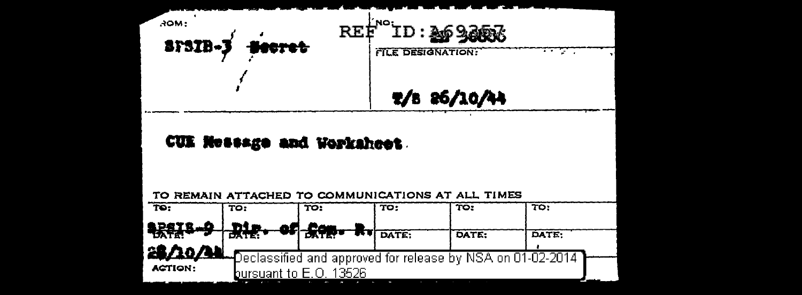

## CUE Nessage and Worksheet.

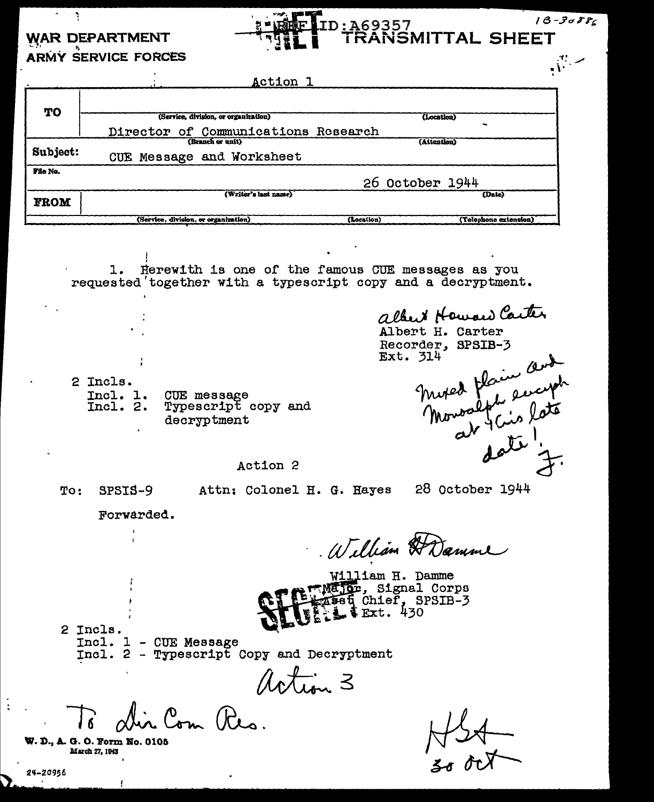## **WAR DEPARTMENT ARMY SERVICE FORCES**

 $\gamma$  ,  $\gamma$ 

|             | ACtion 1                             |                                     |  |
|-------------|--------------------------------------|-------------------------------------|--|
|             |                                      |                                     |  |
| TO          | (Service, division, or organization) | (Location)                          |  |
|             | Director of Communications Research  |                                     |  |
| Subject:    | (Branch or unit)                     | (Attention)                         |  |
|             | CUE Message and Worksheet            |                                     |  |
| File No.    |                                      |                                     |  |
|             |                                      | 26 October 1944                     |  |
| <b>FROM</b> | (Writer's last name)                 | (Date)                              |  |
|             |                                      |                                     |  |
|             | (Service, division, or organization) | (Telephone extension)<br>(Location) |  |

D:A69357

TRANSMITTAL SHEET

1. Herewith is one of the famous CUE messages as you requested together with a typescript copy and a decryptment.

2 Incls. Incl. 1.<br>Incl. 2. CUE message Typescript copy and decryptment

albert Howard Carter Albert H. Carter Recorder, SPSIB-3 Ext. 314 moved floring and

 $18 - 3088c$ 

 $\frac{m}{n}$ 

Action 2

To: SPSIS-9 Attn: Colonel H. G. Hayes

28 October 1944

Forwarded.

William HDamme

William H. Damme **REMAJO**r, Signal Corps sset Chief, SPSIB-3<br>- FExt. 430

2 Incls. Incl. 1 - CUE Message Incl. 2 - Typescript Copy and Decryptment

action 3

Com Res.

W. D., A. G. O. Form No. 0105 March 27, 1943

 $M_{24} + 1$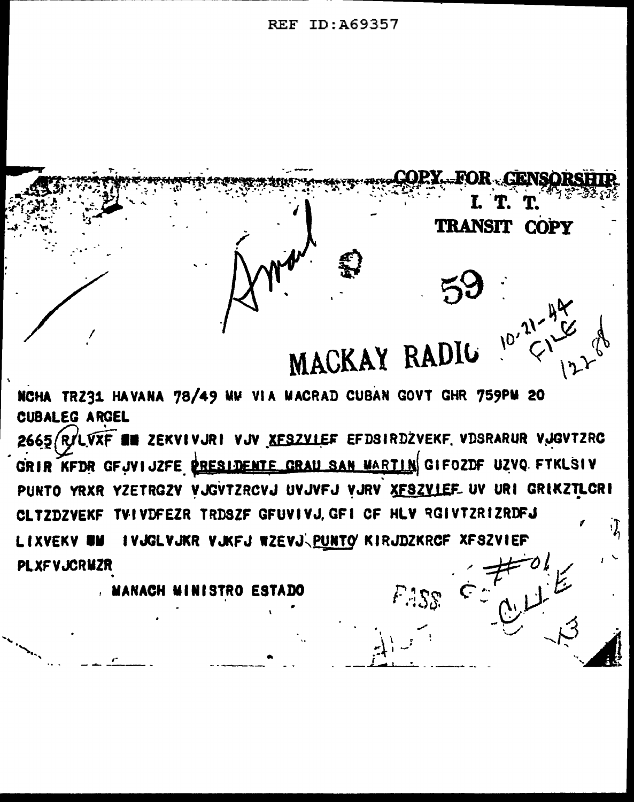**REF ID: A69357** 



NCHA TRZ31 HAVANA 78/49 MW VIA MACRAD CUBAN GOVT GHR 759PM 20 **CUBALEG ARGEL** 

2665 RILVXF EN ZEKVIVJRI VJV XFSZVIEF EFDSIRDZVEKF VDSRARUR VJGVTZRC GRIR KFDR GFJVIJZFE PRESIDENTE GRAU SAN MARTIN GIFOZDF UZVO FTKLSIV PUNTO YRXR YZETRGZY VJGVTZRCVJ UVJVFJ VJRV XFSZVIEF UV URI GRIKZTLCRI CLTZDZVEKF TVIVDFEZR TRDSZF GFUVIVJ.GFI CF HLV RGIVTZRIZRDFJ IVJGLVJKR VJKFJ WZEVJ<PUNTO KIRJDZKRCF XFSZVIEF **LIXVEKY WW PLXFVJCRMZR** 

**A MANACH MINISTRO ESTADO**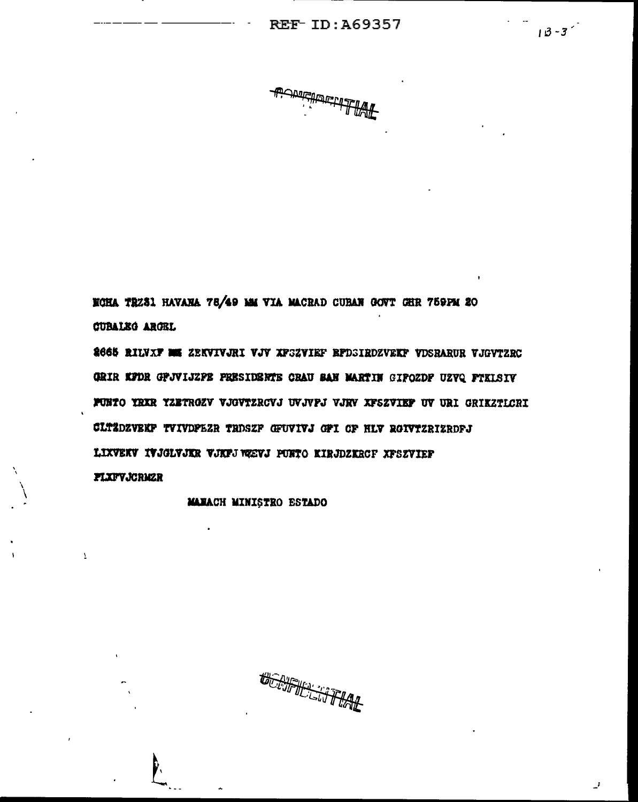$18 - 3$ 

NOHA TRZSI HAVANA 78/49 MM VIA MACRAD CUBAN GOVT GHR 759PM 20 **CUBALEG ARGEL** 

2665 RILVXF ME ZEKVIVJRI VJV XFSZVIEF RFDSIRDZVEKF VDSBARUR VJGVTZRC GRIR KFDR GPJVIJZPB PRESIDENTE CRAU SAN MARTIN GIPOZDP UZVQ FTKLSIV FUNTO YRXR YZETROZV VJGVTZRCVJ UVJVPJ VJKV XFSZVIEP UV URI GRIKZTICRI CLTZDZVEKF TVIVDPEZR TRDSZF GFUVIVJ GFI CF HLV RGIVTZRIZRDFJ LIXVEKV IVJGLVJKR VJKPJ VÆVJ PURTO KIRJDZKRCF XPSZVIEF **FLXFVJCRMZR** 

MANACH MINISTRO ESTADO

 $\overline{\mathbf{1}}$